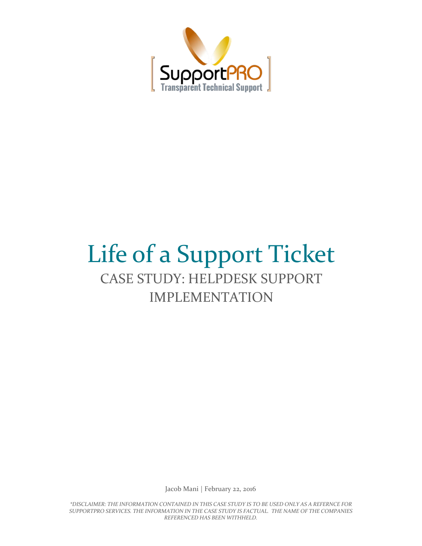

# Life of a Support Ticket CASE STUDY: HELPDESK SUPPORT IMPLEMENTATION

Jacob Mani | February 22, 2016

*\*DISCLAIMER: THE INFORMATION CONTAINED IN THIS CASE STUDY IS TO BE USED ONLY AS A REFERNCE FOR SUPPORTPRO SERVICES. THE INFORMATION IN THE CASE STUDY IS FACTUAL. THE NAME OF THE COMPANIES REFERENCED HAS BEEN WITHHELD.*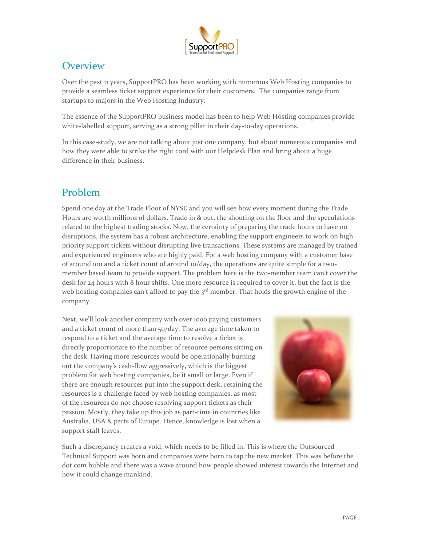

## **Overview**

Over the past 11 years, SupportPRO has been working with numerous Web Hosting companies to provide a seamless ticket support experience for their customers. The companies range from startups to majors in the Web Hosting Industry.

The essence of the SupportPRO business model has been to help Web Hosting companies provide white-labelled support, serving as a strong pillar in their day-to-day operations.

In this case-study, we are not talking about just one company, but about numerous companies and how they were able to strike the right cord with our Helpdesk Plan and bring about a huge difference in their business.

# Problem

Spend one day at the Trade Floor of NYSE and you will see how every moment during the Trade Hours are worth millions of dollars. Trade in & out, the shouting on the floor and the speculations related to the highest trading stocks. Now, the certainty of preparing the trade hours to have no disruptions, the system has a robust architecture, enabling the support engineers to work on high priority support tickets without disrupting live transactions. These systems are managed by trained and experienced engineers who are highly paid. For a web hosting company with a customer base of around 100 and a ticket count of around 10/day, the operations are quite simple for a twomember based team to provide support. The problem here is the two-member team can't cover the desk for 24 hours with 8 hour shifts. One more resource is required to cover it, but the fact is the web hosting companies can't afford to pay the 3<sup>rd</sup> member. That holds the growth engine of the company.

Next, we'll look another company with over 1000 paying customers and a ticket count of more than 50/day. The average time taken to respond to a ticket and the average time to resolve a ticket is directly proportionate to the number of resource persons sitting on the desk. Having more resources would be operationally burning out the company's cash-flow aggressively, which is the biggest problem for web hosting companies, be it small or large. Even if there are enough resources put into the support desk, retaining the resources is a challenge faced by web hosting companies, as most of the resources do not choose resolving support tickets as their passion. Mostly, they take up this job as part-time in countries like Australia, USA & parts of Europe. Hence, knowledge is lost when a support staff leaves.



Such a discrepancy creates a void, which needs to be filled in. This is where the Outsourced Technical Support was born and companies were born to tap the new market. This was before the dot com bubble and there was a wave around how people showed interest towards the Internet and how it could change mankind.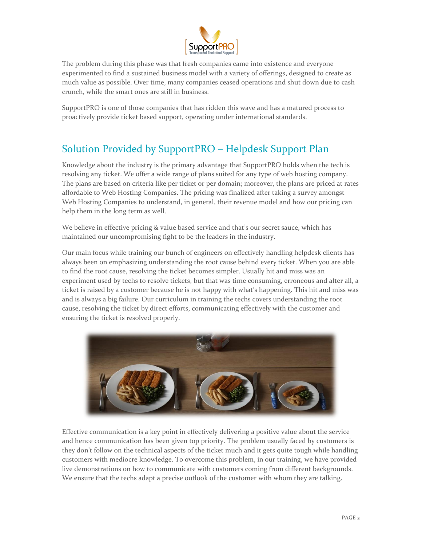

The problem during this phase was that fresh companies came into existence and everyone experimented to find a sustained business model with a variety of offerings, designed to create as much value as possible. Over time, many companies ceased operations and shut down due to cash crunch, while the smart ones are still in business.

SupportPRO is one of those companies that has ridden this wave and has a matured process to proactively provide ticket based support, operating under international standards.

# Solution Provided by SupportPRO – Helpdesk Support Plan

Knowledge about the industry is the primary advantage that SupportPRO holds when the tech is resolving any ticket. We offer a wide range of plans suited for any type of web hosting company. The plans are based on criteria like per ticket or per domain; moreover, the plans are priced at rates affordable to Web Hosting Companies. The pricing was finalized after taking a survey amongst Web Hosting Companies to understand, in general, their revenue model and how our pricing can help them in the long term as well.

We believe in effective pricing & value based service and that's our secret sauce, which has maintained our uncompromising fight to be the leaders in the industry.

Our main focus while training our bunch of engineers on effectively handling helpdesk clients has always been on emphasizing understanding the root cause behind every ticket. When you are able to find the root cause, resolving the ticket becomes simpler. Usually hit and miss was an experiment used by techs to resolve tickets, but that was time consuming, erroneous and after all, a ticket is raised by a customer because he is not happy with what's happening. This hit and miss was and is always a big failure. Our curriculum in training the techs covers understanding the root cause, resolving the ticket by direct efforts, communicating effectively with the customer and ensuring the ticket is resolved properly.



Effective communication is a key point in effectively delivering a positive value about the service and hence communication has been given top priority. The problem usually faced by customers is they don't follow on the technical aspects of the ticket much and it gets quite tough while handling customers with mediocre knowledge. To overcome this problem, in our training, we have provided live demonstrations on how to communicate with customers coming from different backgrounds. We ensure that the techs adapt a precise outlook of the customer with whom they are talking.